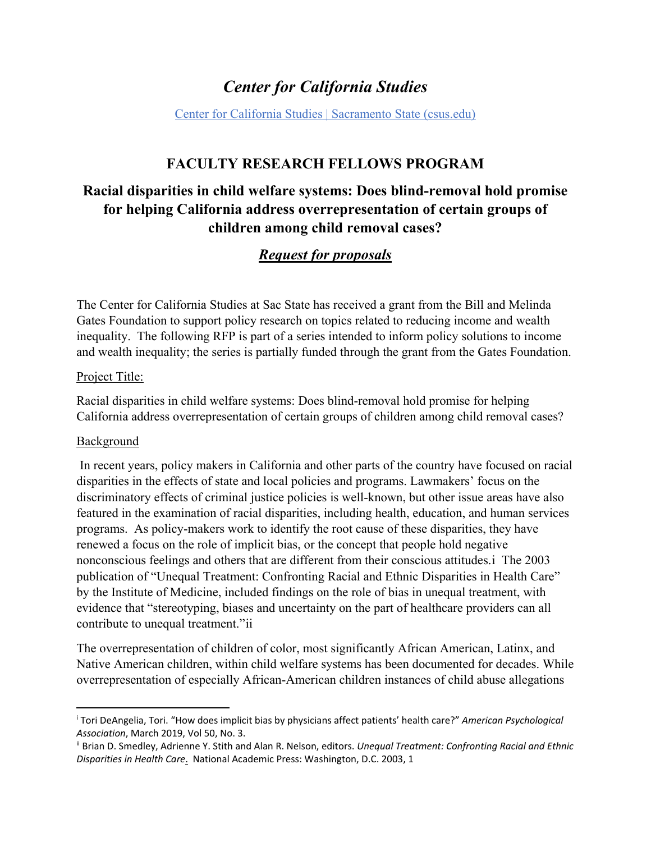# *Center for California Studies*

[Center for California Studies | Sacramento State \(csus.edu\)](https://www.csus.edu/center/center-california-studies/)

# **FACULTY RESEARCH FELLOWS PROGRAM**

# **Racial disparities in child welfare systems: Does blind-removal hold promise for helping California address overrepresentation of certain groups of children among child removal cases?**

# *Request for proposals*

The Center for California Studies at Sac State has received a grant from the Bill and Melinda Gates Foundation to support policy research on topics related to reducing income and wealth inequality. The following RFP is part of a series intended to inform policy solutions to income and wealth inequality; the series is partially funded through the grant from the Gates Foundation.

#### Project Title:

Racial disparities in child welfare systems: Does blind-removal hold promise for helping California address overrepresentation of certain groups of children among child removal cases?

### Background

 $\overline{a}$ 

 In recent years, policy makers in California and other parts of the country have focused on racial disparities in the effects of state and local policies and programs. Lawmakers' focus on the discriminatory effects of criminal justice policies is well-known, but other issue areas have also featured in the examination of racial disparities, including health, education, and human services programs. As policy-makers work to identify the root cause of these disparities, they have renewed a focus on the role of implicit bias, or the concept that people hold negative nonconscious feelings and others that are different from their conscious attitudes.[i](#page-0-0) The 2003 publication of "Unequal Treatment: Confronting Racial and Ethnic Disparities in Health Care" by the Institute of Medicine, included findings on the role of bias in unequal treatment, with evidence that "stereotyping, biases and uncertainty on the part of healthcare providers can all contribute to unequal treatment."[ii](#page-0-1)

The overrepresentation of children of color, most significantly African American, Latinx, and Native American children, within child welfare systems has been documented for decades. While overrepresentation of especially African-American children instances of child abuse allegations

<span id="page-0-0"></span><sup>i</sup> Tori DeAngelia, Tori. "How does implicit bias by physicians affect patients' health care?" *American Psychological Association*, March 2019, Vol 50, No. 3.<br><sup>ii</sup> Brian D. Smedley, Adrienne Y. Stith and Alan R. Nelson, editors. *Unequal Treatment: Confronting Racial and Ethnic* 

<span id="page-0-1"></span>*Disparities in Health Care*. National Academic Press: Washington, D.C. 2003, 1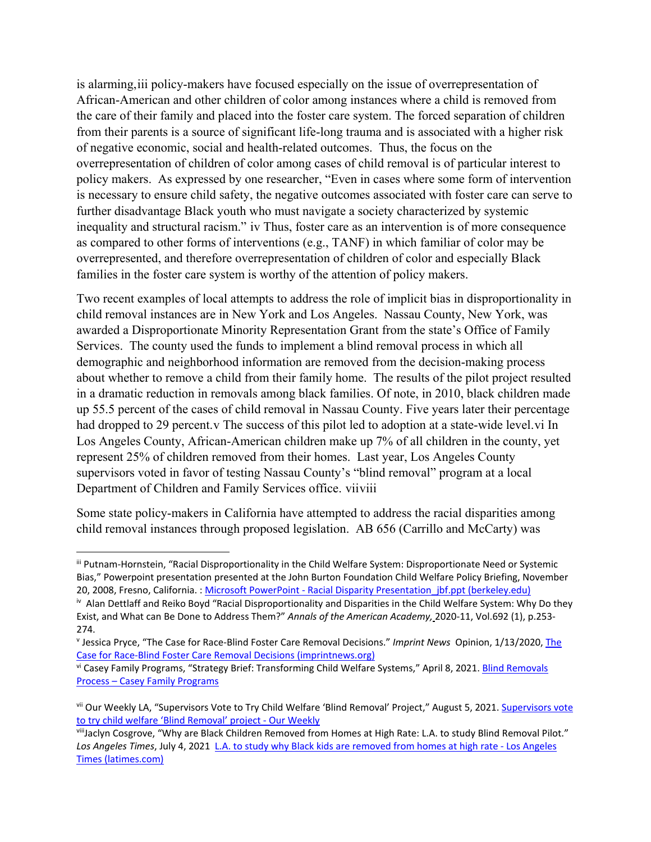is alarming,[iii](#page-1-0) policy-makers have focused especially on the issue of overrepresentation of African-American and other children of color among instances where a child is removed from the care of their family and placed into the foster care system. The forced separation of children from their parents is a source of significant life-long trauma and is associated with a higher risk of negative economic, social and health-related outcomes. Thus, the focus on the overrepresentation of children of color among cases of child removal is of particular interest to policy makers. As expressed by one researcher, "Even in cases where some form of intervention is necessary to ensure child safety, the negative outcomes associated with foster care can serve to further disadvantage Black youth who must navigate a society characterized by systemic inequality and structural racism." [iv](#page-1-1) Thus, foster care as an intervention is of more consequence as compared to other forms of interventions (e.g., TANF) in which familiar of color may be overrepresented, and therefore overrepresentation of children of color and especially Black families in the foster care system is worthy of the attention of policy makers.

Two recent examples of local attempts to address the role of implicit bias in disproportionality in child removal instances are in New York and Los Angeles. Nassau County, New York, was awarded a Disproportionate Minority Representation Grant from the state's Office of Family Services. The county used the funds to implement a blind removal process in which all demographic and neighborhood information are removed from the decision-making process about whether to remove a child from their family home. The results of the pilot project resulted in a dramatic reduction in removals among black families. Of note, in 2010, black children made up 55.5 percent of the cases of child removal in Nassau County. Five years later their percentage had dropped to 29 percent.[v](#page-1-2) The success of this pilot led to adoption at a state-wide level.[vi](#page-1-3) In Los Angeles County, African-American children make up 7% of all children in the county, yet represent 25% of children removed from their homes. Last year, Los Angeles County supervisors voted in favor of testing Nassau County's "blind removal" program at a local Department of Children and Family Services office. [vii](#page-1-4)[viii](#page-1-5)

Some state policy-makers in California have attempted to address the racial disparities among child removal instances through proposed legislation. AB 656 (Carrillo and McCarty) was

l

<span id="page-1-0"></span>iii Putnam-Hornstein, "Racial Disproportionality in the Child Welfare System: Disproportionate Need or Systemic Bias," Powerpoint presentation presented at the John Burton Foundation Child Welfare Policy Briefing, November 20, 2008, Fresno, California. : Microsoft PowerPoint - Racial Disparity Presentation jbf.ppt (berkeley.edu)

<span id="page-1-1"></span><sup>&</sup>lt;sup>iv</sup> Alan Dettlaff and Reiko Boyd "Racial Disproportionality and Disparities in the Child Welfare System: Why Do they Exist, and What can Be Done to Address Them?" *Annals of the American Academy,* 2020-11, Vol.692 (1), p.253- 274.<br><sup>v</sup> Jessica Pryce, "The Case for Race-Blind Foster Care Removal Decisions." *Imprint News* Opinion, 1/13/2020, The

<span id="page-1-2"></span>[Case for Race-Blind Foster Care Removal Decisions \(imprintnews.org\)](https://imprintnews.org/opinion/the-case-for-race-blind-foster-care-removal-decisions/39898)

<span id="page-1-3"></span>vi Casey Family Programs, "Strategy Brief: Transforming Child Welfare Systems," April 8, 2021[. Blind Removals](https://www.casey.org/blind-removals-nassau/)  [Process – Casey Family Programs](https://www.casey.org/blind-removals-nassau/)

<span id="page-1-4"></span>vii Our Weekly LA, "Supervisors Vote to Try Child Welfare 'Blind Removal' Project," August 5, 2021. Supervisors vote [to try child welfare 'Blind Removal' project - Our Weekly](https://ourweekly.com/news/2021/08/05/supervisors-vote-try-child-welfare-blind-removal-p/)

<span id="page-1-5"></span>viiiJaclyn Cosgrove, "Why are Black Children Removed from Homes at High Rate: L.A. to study Blind Removal Pilot." *Los Angeles Times*, July 4, 2021 [L.A. to study why Black kids are removed from homes at high rate - Los Angeles](https://www.latimes.com/california/story/2021-07-14/why-are-black-children-removed-from-homes-at-high-rate-l-a-county-plans-blind-removal-pilot)  [Times \(latimes.com\)](https://www.latimes.com/california/story/2021-07-14/why-are-black-children-removed-from-homes-at-high-rate-l-a-county-plans-blind-removal-pilot)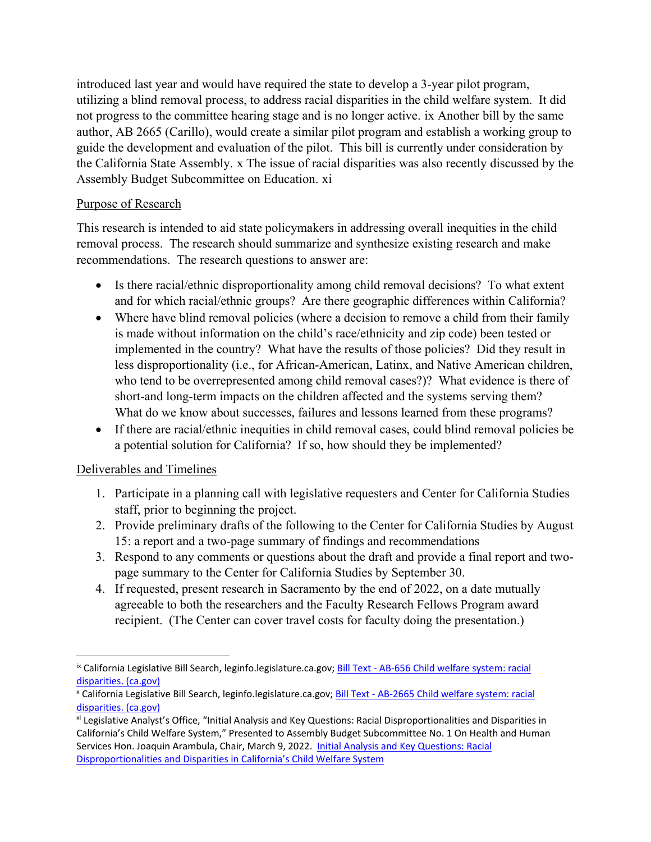introduced last year and would have required the state to develop a 3-year pilot program, utilizing a blind removal process, to address racial disparities in the child welfare system. It did not progress to the committee hearing stage and is no longer active. [ix](#page-2-0) Another bill by the same author, AB 2665 (Carillo), would create a similar pilot program and establish a working group to guide the development and evaluation of the pilot. This bill is currently under consideration by the California State Assembly. [x](#page-2-1) The issue of racial disparities was also recently discussed by the Assembly Budget Subcommittee on Education. [xi](#page-2-2)

## Purpose of Research

This research is intended to aid state policymakers in addressing overall inequities in the child removal process. The research should summarize and synthesize existing research and make recommendations. The research questions to answer are:

- Is there racial/ethnic disproportionality among child removal decisions? To what extent and for which racial/ethnic groups? Are there geographic differences within California?
- Where have blind removal policies (where a decision to remove a child from their family is made without information on the child's race/ethnicity and zip code) been tested or implemented in the country? What have the results of those policies? Did they result in less disproportionality (i.e., for African-American, Latinx, and Native American children, who tend to be overrepresented among child removal cases?)? What evidence is there of short-and long-term impacts on the children affected and the systems serving them? What do we know about successes, failures and lessons learned from these programs?
- If there are racial/ethnic inequities in child removal cases, could blind removal policies be a potential solution for California? If so, how should they be implemented?

# Deliverables and Timelines

 $\overline{\phantom{a}}$ 

- 1. Participate in a planning call with legislative requesters and Center for California Studies staff, prior to beginning the project.
- 2. Provide preliminary drafts of the following to the Center for California Studies by August 15: a report and a two-page summary of findings and recommendations
- 3. Respond to any comments or questions about the draft and provide a final report and twopage summary to the Center for California Studies by September 30.
- 4. If requested, present research in Sacramento by the end of 2022, on a date mutually agreeable to both the researchers and the Faculty Research Fellows Program award recipient. (The Center can cover travel costs for faculty doing the presentation.)

<span id="page-2-0"></span>ix California Legislative Bill Search, leginfo.legislature.ca.gov; [Bill Text - AB-656 Child welfare system: racial](https://leginfo.legislature.ca.gov/faces/billNavClient.xhtml?bill_id=202120220AB656)  [disparities. \(ca.gov\)](https://leginfo.legislature.ca.gov/faces/billNavClient.xhtml?bill_id=202120220AB656)

<span id="page-2-1"></span><sup>x</sup> California Legislative Bill Search, leginfo.legislature.ca.gov[; Bill Text - AB-2665 Child welfare system: racial](https://leginfo.legislature.ca.gov/faces/billNavClient.xhtml?bill_id=202120220AB2665)  [disparities. \(ca.gov\)](https://leginfo.legislature.ca.gov/faces/billNavClient.xhtml?bill_id=202120220AB2665)

<span id="page-2-2"></span>xi Legislative Analyst's Office, "Initial Analysis and Key Questions: Racial Disproportionalities and Disparities in California's Child Welfare System," Presented to Assembly Budget Subcommittee No. 1 On Health and Human Services Hon. Joaquin Arambula, Chair, March 9, 2022. [Initial Analysis and Key Questions: Racial](https://abgt.assembly.ca.gov/sites/abgt.assembly.ca.gov/files/LAO%20Handout%20-%20Assembly%20Sub%201%20Hearing%20-%20March%209%202022.pdf)  [Disproportionalities and Disparities in California's Child Welfare System](https://abgt.assembly.ca.gov/sites/abgt.assembly.ca.gov/files/LAO%20Handout%20-%20Assembly%20Sub%201%20Hearing%20-%20March%209%202022.pdf)